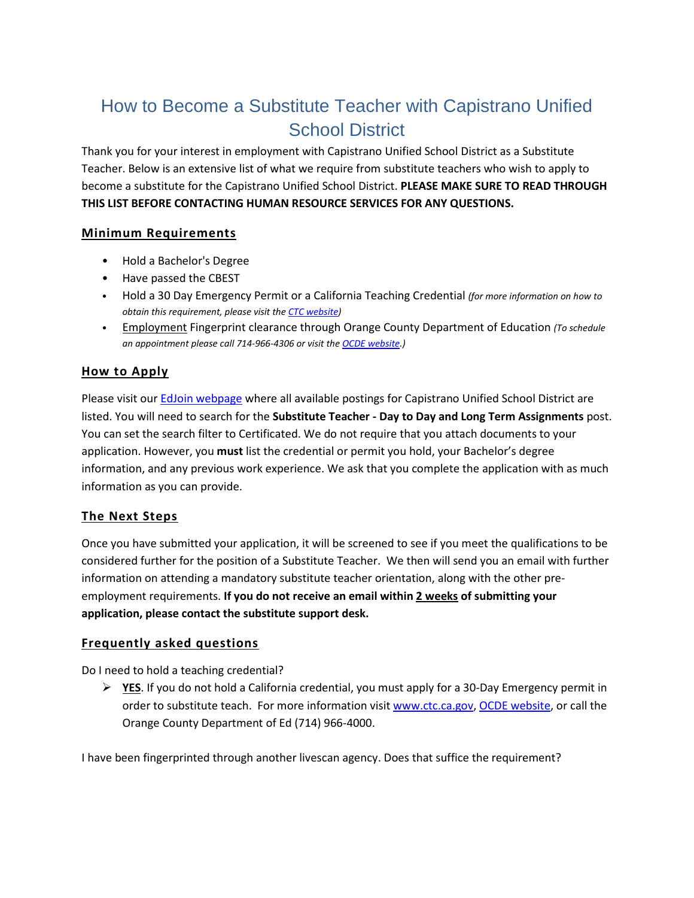# How to Become a Substitute Teacher with Capistrano Unified School District

Thank you for your interest in employment with Capistrano Unified School District as a Substitute Teacher. Below is an extensive list of what we require from substitute teachers who wish to apply to become a substitute for the Capistrano Unified School District. **PLEASE MAKE SURE TO READ THROUGH THIS LIST BEFORE CONTACTING HUMAN RESOURCE SERVICES FOR ANY QUESTIONS.**

## **Minimum Requirements**

- Hold a Bachelor's Degree
- Have passed the CBEST
- Hold a 30 Day Emergency Permit or a California Teaching Credential *(for more information on how to obtain this requirement, please visit th[e CTC website\)](https://www.ctc.ca.gov/)*
- Employment Fingerprint clearance through Orange County Department of Education *(To schedule an appointment please call 714-966-4306 or visit th[e OCDE website.](https://ocde.us/SupportServices/Pages/Credentialing-and-Fingerprinting-Services.aspx))*

## **How to Apply**

Please visit our **EdJoin webpage** where all available postings for Capistrano Unified School District are listed. You will need to search for the **Substitute Teacher - Day to Day and Long Term Assignments** post. You can set the search filter to Certificated. We do not require that you attach documents to your application. However, you **must** list the credential or permit you hold, your Bachelor's degree information, and any previous work experience. We ask that you complete the application with as much information as you can provide.

### **The Next Steps**

Once you have submitted your application, it will be screened to see if you meet the qualifications to be considered further for the position of a Substitute Teacher. We then will send you an email with further information on attending a mandatory substitute teacher orientation, along with the other preemployment requirements. **If you do not receive an email within 2 weeks of submitting your application, please contact the substitute support desk.**

### **Frequently asked questions**

Do I need to hold a teaching credential?

 **YES**. If you do not hold a California credential, you must apply for a 30-Day Emergency permit in order to substitute teach. For more information visit [www.ctc.ca.gov,](http://www.ctc.ca.gov/) [OCDE website,](https://ocde.us/SupportServices/Pages/Credentialing-and-Fingerprinting-Services.aspx) or call the Orange County Department of Ed (714) 966-4000.

I have been fingerprinted through another livescan agency. Does that suffice the requirement?